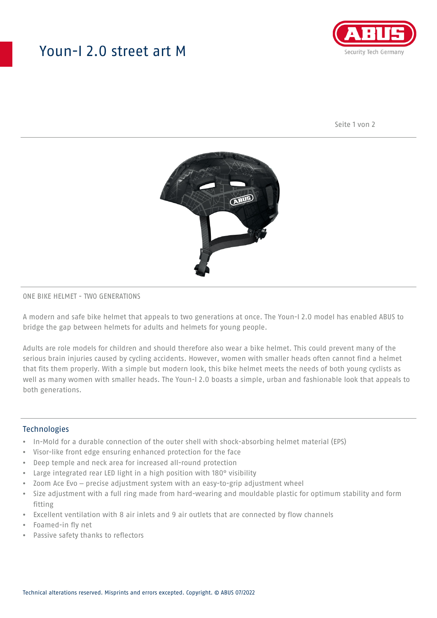# Youn-I 2.0 street art M



Seite 1 von 2



### ONE BIKE HELMET - TWO GENERATIONS

A modern and safe bike helmet that appeals to two generations at once. The Youn-I 2.0 model has enabled ABUS to bridge the gap between helmets for adults and helmets for young people.

Adults are role models for children and should therefore also wear a bike helmet. This could prevent many of the serious brain injuries caused by cycling accidents. However, women with smaller heads often cannot find a helmet that fits them properly. With a simple but modern look, this bike helmet meets the needs of both young cyclists as well as many women with smaller heads. The Youn-I 2.0 boasts a simple, urban and fashionable look that appeals to both generations.

#### **Technologies**

- In-Mold for a durable connection of the outer shell with shock-absorbing helmet material (EPS)
- Visor-like front edge ensuring enhanced protection for the face
- Deep temple and neck area for increased all-round protection
- Large integrated rear LED light in a high position with 180° visibility
- Zoom Ace Evo precise adjustment system with an easy-to-grip adjustment wheel
- Size adjustment with a full ring made from hard-wearing and mouldable plastic for optimum stability and form fitting
- Excellent ventilation with 8 air inlets and 9 air outlets that are connected by flow channels
- Foamed-in fly net
- Passive safety thanks to reflectors